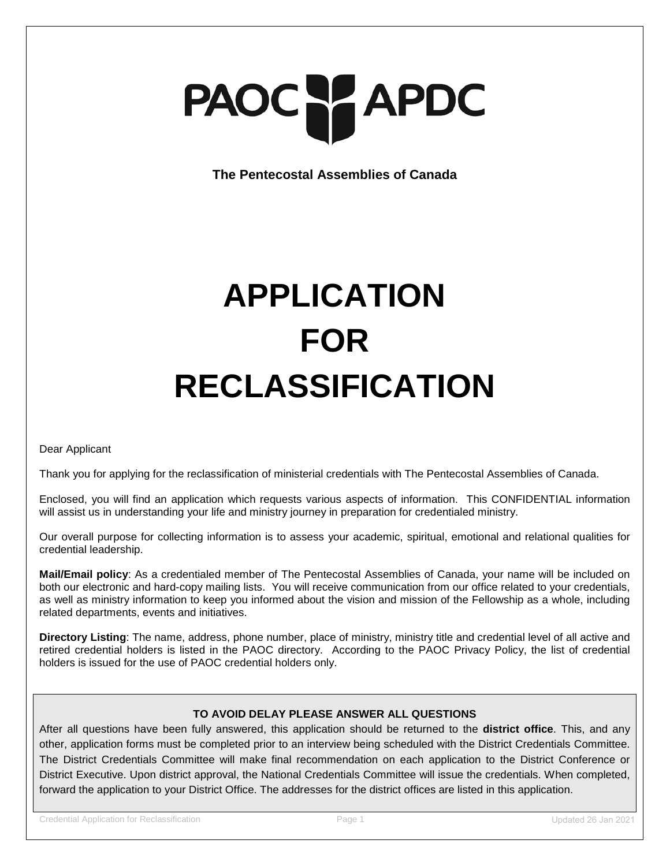# PAOC PAPDC

**The Pentecostal Assemblies of Canada**

## **APPLICATION FOR RECLASSIFICATION**

Dear Applicant

Thank you for applying for the reclassification of ministerial credentials with The Pentecostal Assemblies of Canada.

Enclosed, you will find an application which requests various aspects of information. This CONFIDENTIAL information will assist us in understanding your life and ministry journey in preparation for credentialed ministry.

Our overall purpose for collecting information is to assess your academic, spiritual, emotional and relational qualities for credential leadership.

**Mail/Email policy**: As a credentialed member of The Pentecostal Assemblies of Canada, your name will be included on both our electronic and hard-copy mailing lists. You will receive communication from our office related to your credentials, as well as ministry information to keep you informed about the vision and mission of the Fellowship as a whole, including related departments, events and initiatives.

**Directory Listing**: The name, address, phone number, place of ministry, ministry title and credential level of all active and retired credential holders is listed in the PAOC directory. According to the PAOC Privacy Policy, the list of credential holders is issued for the use of PAOC credential holders only.

### **TO AVOID DELAY PLEASE ANSWER ALL QUESTIONS**

After all questions have been fully answered, this application should be returned to the **district office**. This, and any other, application forms must be completed prior to an interview being scheduled with the District Credentials Committee. The District Credentials Committee will make final recommendation on each application to the District Conference or District Executive. Upon district approval, the National Credentials Committee will issue the credentials. When completed, forward the application to your District Office. The addresses for the district offices are listed in this application.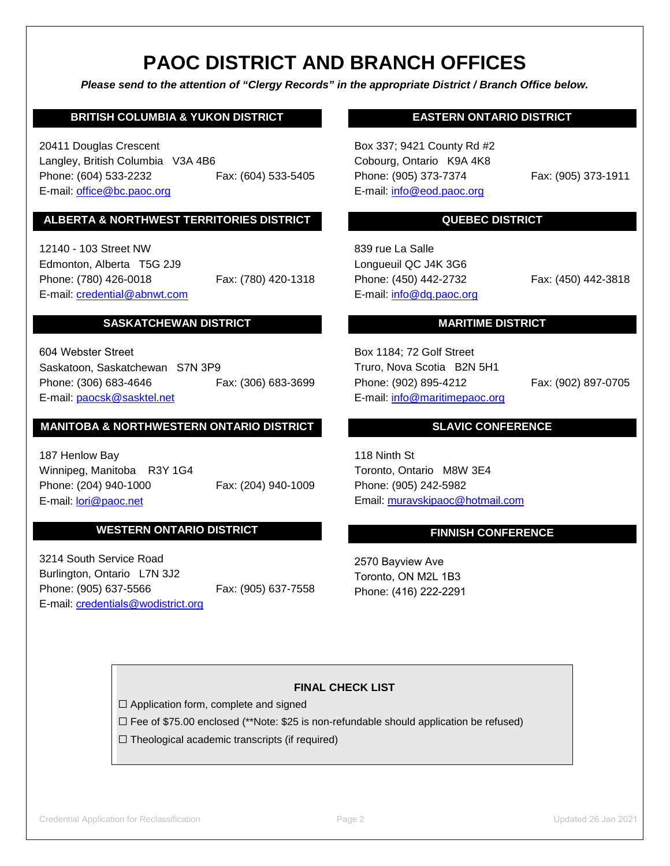### **PAOC DISTRICT AND BRANCH OFFICES**

*Please send to the attention of "Clergy Records" in the appropriate District / Branch Office below.*

### **BRITISH COLUMBIA & YUKON DISTRICT**

20411 Douglas Crescent Langley, British Columbia V3A 4B6 Phone: (604) 533-2232 Fax: (604) 533-5405 E-mail: [office@bc.paoc.org](mailto:office@bc.paoc.org)

### **ALBERTA & NORTHWEST TERRITORIES DISTRICT**

12140 - 103 Street NW Edmonton, Alberta T5G 2J9 Phone: (780) 426-0018 Fax: (780) 420-1318 E-mail: [credential@abnwt.c](mailto:credential@abnwt.)om

### **SASKATCHEWAN DISTRICT**

Fax: (306) 683-3699 604 Webster Street Saskatoon, Saskatchewan S7N 3P9 Phone: (306) 683-4646 E-mail: [paocsk@sasktel.net](mailto:paocsk@sasktel.net)

### **MANITOBA & NORTHWESTERN ONTARIO DISTRICT**

Fax: (204) 940-1009 187 Henlow Bay Winnipeg, Manitoba R3Y 1G4 Phone: (204) 940-1000 E-mail: lori[@paoc.net](mailto:ruth@paoc.net) 

### **WESTERN ONTARIO DISTRICT**

Fax: (905) 637-7558 3214 South Service Road Burlington, Ontario L7N 3J2 Phone: (905) 637-5566 E-mail: credentials[@wodistrict.org](mailto:reception@wodistrict.org)

### **EASTERN ONTARIO DISTRICT**

Box 337; 9421 County Rd #2 Cobourg, Ontario K9A 4K8 Phone: (905) 373-7374 Fax: (905) 373-1911 E-mail: info@eod.paoc.org

### **QUEBEC DISTRICT**

839 rue La Salle Longueuil QC J4K 3G6 Phone: (450) 442-2732 Fax: (450) 442-3818 E-mail: [info@dq.paoc.org](mailto:info@dq.paoc.org)

### **MARITIME DISTRICT**

Box 1184; 72 Golf Street Truro, Nova Scotia B2N 5H1 Phone: (902) 895-4212 Fax: (902) 897-0705 E-mail: [info@maritimepaoc.org](mailto:info@maritimepaoc.org)

### **SLAVIC CONFERENCE**

118 Ninth St Toronto, Ontario M8W 3E4 Phone: (905) 242-5982 Email: [muravskipaoc@](mailto:muravskipaoc@rogers.com)hotmail.com

### **FINNISH CONFERENCE**

2570 Bayview Ave Toronto, ON M2L 1B3 Phone: (416) 222-2291

### **FINAL CHECK LIST**

☐ Application form, complete and signed

☐ Fee of \$75.00 enclosed (\*\*Note: \$25 is non-refundable should application be refused)

 $\Box$  Theological academic transcripts (if required)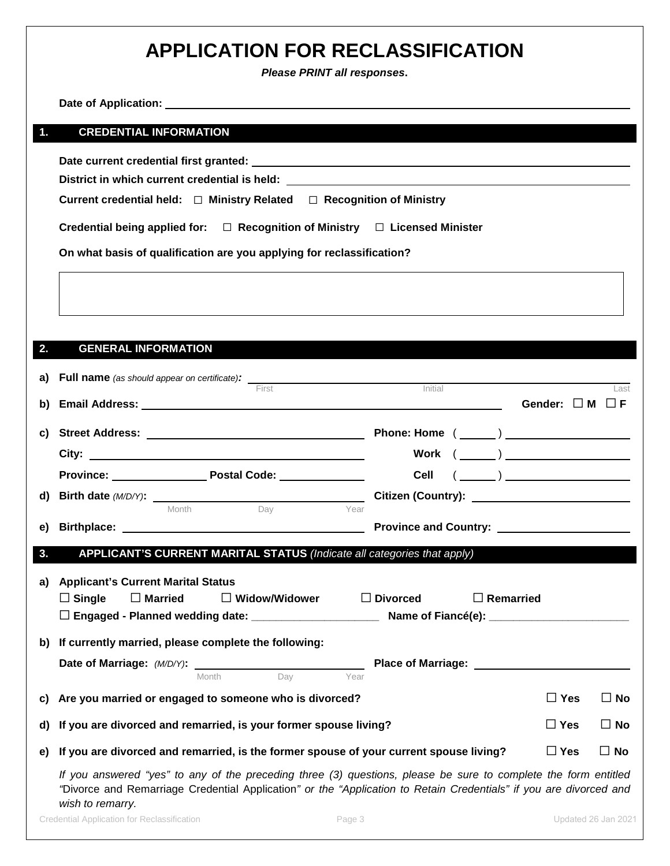### **APPLICATION FOR RECLASSIFICATION**

*Please PRINT all responses***.** 

|    | Date of Application: the contract of the contract of the contract of the contract of the contract of the contract of the contract of the contract of the contract of the contract of the contract of the contract of the contr                            |                                                                                                                                                                                                                                                                                                                                                                    |            |              |
|----|-----------------------------------------------------------------------------------------------------------------------------------------------------------------------------------------------------------------------------------------------------------|--------------------------------------------------------------------------------------------------------------------------------------------------------------------------------------------------------------------------------------------------------------------------------------------------------------------------------------------------------------------|------------|--------------|
| 1. | <b>CREDENTIAL INFORMATION</b>                                                                                                                                                                                                                             |                                                                                                                                                                                                                                                                                                                                                                    |            |              |
|    | Current credential held: $\Box$ Ministry Related $\Box$ Recognition of Ministry                                                                                                                                                                           |                                                                                                                                                                                                                                                                                                                                                                    |            |              |
|    | Credential being applied for: $\square$ Recognition of Ministry $\square$ Licensed Minister                                                                                                                                                               |                                                                                                                                                                                                                                                                                                                                                                    |            |              |
|    | On what basis of qualification are you applying for reclassification?                                                                                                                                                                                     |                                                                                                                                                                                                                                                                                                                                                                    |            |              |
|    |                                                                                                                                                                                                                                                           |                                                                                                                                                                                                                                                                                                                                                                    |            |              |
| 2. | <b>GENERAL INFORMATION</b>                                                                                                                                                                                                                                |                                                                                                                                                                                                                                                                                                                                                                    |            |              |
| a) | First                                                                                                                                                                                                                                                     | Initial                                                                                                                                                                                                                                                                                                                                                            |            | Last         |
| b) |                                                                                                                                                                                                                                                           |                                                                                                                                                                                                                                                                                                                                                                    |            |              |
| C) |                                                                                                                                                                                                                                                           | Phone: Home $(\_\_)$                                                                                                                                                                                                                                                                                                                                               |            |              |
|    |                                                                                                                                                                                                                                                           | $\begin{picture}(150,10) \put(0,0){\vector(1,0){100}} \put(15,0){\vector(1,0){100}} \put(15,0){\vector(1,0){100}} \put(15,0){\vector(1,0){100}} \put(15,0){\vector(1,0){100}} \put(15,0){\vector(1,0){100}} \put(15,0){\vector(1,0){100}} \put(15,0){\vector(1,0){100}} \put(15,0){\vector(1,0){100}} \put(15,0){\vector(1,0){100}} \put(15,0){\vector(1,0){100}}$ |            |              |
|    | Province: Province: Postal Code: Province:                                                                                                                                                                                                                |                                                                                                                                                                                                                                                                                                                                                                    |            |              |
| d) | <b>Birth date (M/D/Y):</b><br>Month Day Pear                                                                                                                                                                                                              |                                                                                                                                                                                                                                                                                                                                                                    |            |              |
| e) |                                                                                                                                                                                                                                                           |                                                                                                                                                                                                                                                                                                                                                                    |            |              |
| 3. | APPLICANT'S CURRENT MARITAL STATUS (Indicate all categories that apply)                                                                                                                                                                                   |                                                                                                                                                                                                                                                                                                                                                                    |            |              |
| a) | <b>Applicant's Current Marital Status</b><br>$\Box$ Married<br>$\Box$ Single<br>$\Box$ Widow/Widower                                                                                                                                                      | $\Box$ Remarried<br>$\Box$ Divorced                                                                                                                                                                                                                                                                                                                                |            |              |
| b) | If currently married, please complete the following:                                                                                                                                                                                                      |                                                                                                                                                                                                                                                                                                                                                                    |            |              |
|    | <b>Date of Marriage:</b> (M/D/Y): Month<br>Year                                                                                                                                                                                                           |                                                                                                                                                                                                                                                                                                                                                                    |            |              |
| C) | Are you married or engaged to someone who is divorced?                                                                                                                                                                                                    |                                                                                                                                                                                                                                                                                                                                                                    | $\Box$ Yes | $\square$ No |
| d) | If you are divorced and remarried, is your former spouse living?                                                                                                                                                                                          |                                                                                                                                                                                                                                                                                                                                                                    | $\Box$ Yes | $\Box$ No    |
| e) | If you are divorced and remarried, is the former spouse of your current spouse living?                                                                                                                                                                    |                                                                                                                                                                                                                                                                                                                                                                    | $\Box$ Yes | $\Box$ No    |
|    | If you answered "yes" to any of the preceding three (3) questions, please be sure to complete the form entitled<br>"Divorce and Remarriage Credential Application" or the "Application to Retain Credentials" if you are divorced and<br>wish to remarry. |                                                                                                                                                                                                                                                                                                                                                                    |            |              |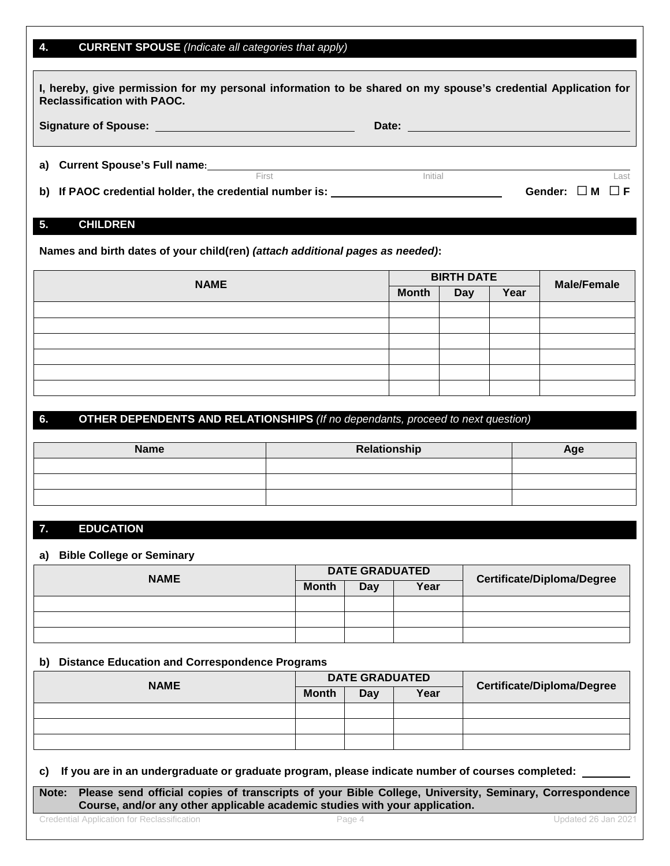### **4. CURRENT SPOUSE** *(Indicate all categories that apply)*

| I, hereby, give permission for my personal information to be shared on my spouse's credential Application for<br><b>Reclassification with PAOC.</b> |       |         |                           |  |  |  |
|-----------------------------------------------------------------------------------------------------------------------------------------------------|-------|---------|---------------------------|--|--|--|
| Signature of Spouse: Management of Spouse:                                                                                                          |       |         |                           |  |  |  |
| a) Current Spouse's Full name:                                                                                                                      | First | Initial | Last                      |  |  |  |
| b) If PAOC credential holder, the credential number is: ________________________                                                                    |       |         | Gender: $\Box$ M $\Box$ F |  |  |  |

### **5. CHILDREN**

**Names and birth dates of your child(ren)** *(attach additional pages as needed)***:** 

| <b>NAME</b> | <b>BIRTH DATE</b> |            |      | <b>Male/Female</b> |
|-------------|-------------------|------------|------|--------------------|
|             | <b>Month</b>      | <b>Day</b> | Year |                    |
|             |                   |            |      |                    |
|             |                   |            |      |                    |
|             |                   |            |      |                    |
|             |                   |            |      |                    |
|             |                   |            |      |                    |
|             |                   |            |      |                    |

### **6. OTHER DEPENDENTS AND RELATIONSHIPS** *(If no dependants, proceed to next question)*

| <b>Name</b> | Relationship | Age |
|-------------|--------------|-----|
|             |              |     |
|             |              |     |
|             |              |     |

### **7. EDUCATION**

#### **a) Bible College or Seminary**

| <b>NAME</b> | <b>DATE GRADUATED</b> |             |  | <b>Certificate/Diploma/Degree</b> |
|-------------|-----------------------|-------------|--|-----------------------------------|
|             | <b>Month</b>          | Year<br>Day |  |                                   |
|             |                       |             |  |                                   |
|             |                       |             |  |                                   |
|             |                       |             |  |                                   |

### **b) Distance Education and Correspondence Programs**

| <b>NAME</b> | <b>DATE GRADUATED</b> |     |      | <b>Certificate/Diploma/Degree</b> |
|-------------|-----------------------|-----|------|-----------------------------------|
|             | <b>Month</b>          | Day | Year |                                   |
|             |                       |     |      |                                   |
|             |                       |     |      |                                   |
|             |                       |     |      |                                   |

### **c) If you are in an undergraduate or graduate program, please indicate number of courses completed:**

**Note: Please send official copies of transcripts of your Bible College, University, Seminary, Correspondence Course, and/or any other applicable academic studies with your application.**

Credential Application for Reclassification Page 4 Updated 26 Jan 2021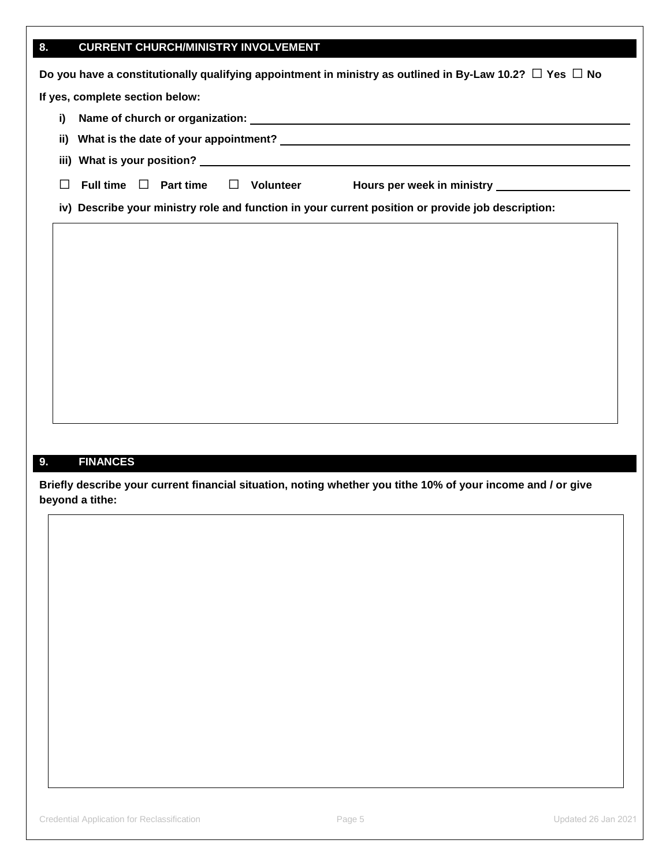### **8. CURRENT CHURCH/MINISTRY INVOLVEMENT**

| Do you have a constitutionally qualifying appointment in ministry as outlined in By-Law 10.2? $\Box$ Yes $\Box$ No |  |  |  |  |  |
|--------------------------------------------------------------------------------------------------------------------|--|--|--|--|--|
| If yes, complete section below:                                                                                    |  |  |  |  |  |
| i)                                                                                                                 |  |  |  |  |  |
| ii) What is the date of your appointment? Note that the control of the control of the control of the control of    |  |  |  |  |  |
|                                                                                                                    |  |  |  |  |  |
| Full time $\Box$ Part time<br>Hours per week in ministry <b>Example 2018</b><br>Volunteer<br>$\Box$                |  |  |  |  |  |
| iv) Describe your ministry role and function in your current position or provide job description:                  |  |  |  |  |  |

### **9. FINANCES**

**Briefly describe your current financial situation, noting whether you tithe 10% of your income and / or give beyond a tithe:**